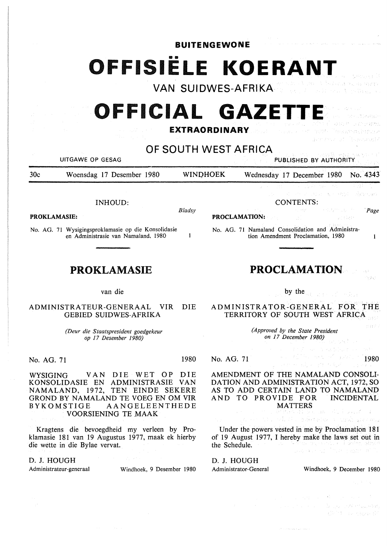**BUITENGEWONE** 

# OFFISIËLE KOERANT

**VAN SUIDWES-AFRIKA** 

# **OFFICIAL GAZETT**

## **EXTRAORDINARY**

**OF SOUTH WEST AFRICA** 

UITGAWE OP GESAG PUBLISHED BY AUTHORITY

30c Woensdag 17 Desember 1980 WINPHOEK Wednesday 17 December 1980 No. 4343

INHOUD:

**PROKLAMASIE:** 

No. AG. 71 Wysigingsproklamasie op die Konsolidasie en Administrasie van Namaland, 1980

## **PROKLAMASIE**

### van die

ADMINISTRATEUR-GENERAAL VIR DIE GEBIED SUIDWES-AFRIKA

> *(Deur die Staatspresident goedgekeur op 17 Desember 1980)*

No. AG. 71 1980

*Bladsy* 

 $\mathbf{1}$ 

WYSIGING VAN DIE WET OP DIE KONSOLIDASIE EN ADMINISTRASIE VAN NAMALAND, 1972, TEN EINDE SEKERE GROND BY NAMALAND TE VOEG EN OM VIR BYKOMSTIGE AANGELEENTHEDE VOORSIENING TE MAAK

Kragtens die bevoegdheid my verleen by Proklamasie 181 van 19 Augustus 1977, maak ek hierby die wette in die Bylae vervat.

### D. J. HOUGH

Administrateur-generaal Windhoek, 9 Desember 1980

CONTENTS:

**PROCLAMATION:** 

No. AG. 71 Namaland Consolidation and Administration Amendment Proclamation, 1980

## **PROCLAMATION**

by the

ADMINISTRATOR-GENERAL FOR THE TERRITORY OF SOUTH WEST AFRICA

> *(Approved by the State President on 17 December 1980)*

No. AG. 71

1980

*·Page* 

 $\mathbf{1}$ 

AMENDMENT OF THE NAMALAND CONSOLI-DATION AND ADMINISTRATION ACT, 1972, SO AS TO ADD CERTAIN LAND TO NAMALAND AND TO PROVIDE FOR INCIDENTAL MATTERS

Under the powers vested in me by Proclamation 181 of 19 August 1977, I hereby make the laws set out in the Schedule.

异義

D. J. HOUGH

Administrator-General Windhoek, 9 December 1980

spillmader is nothing comp

(一般) () Dige in Annual Br one graph d